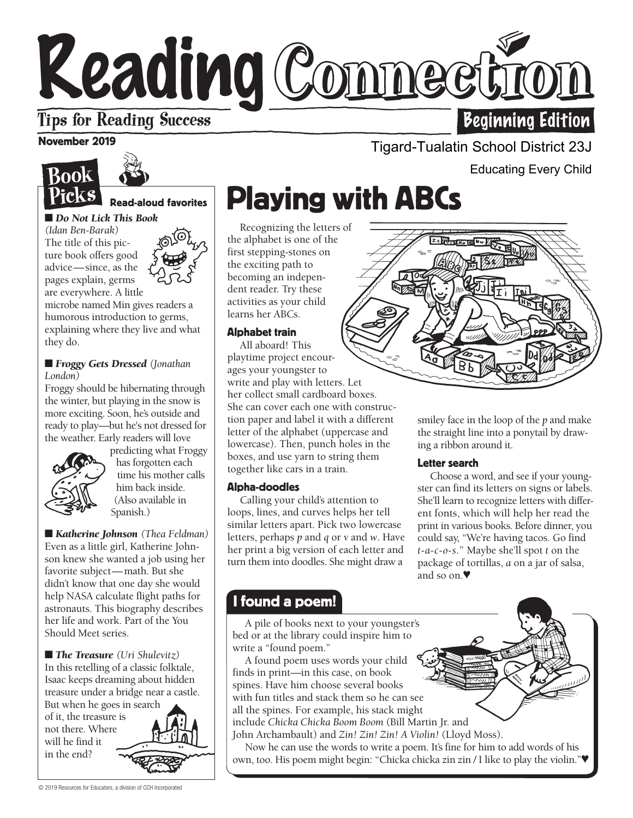## Reading Commection **Tips for Reading Success Beginning Edition**

## November 2019

# **Book**

### Read-aloud favorites

■ *Do Not Lick This Book* 

*(Idan Ben-Barak)* The title of this picture book offers good advice—since, as the pages explain, germs are everywhere. A little

microbe named Min gives readers a humorous introduction to germs, explaining where they live and what they do.

### ■ *Froggy Gets Dressed (Jonathan London)*

Froggy should be hibernating through the winter, but playing in the snow is more exciting. Soon, he's outside and ready to play—but he's not dressed for the weather. Early readers will love



predicting what Froggy has forgotten each time his mother calls him back inside. (Also available in Spanish.)

■ *Katherine Johnson* (*Thea Feldman*) Even as a little girl, Katherine Johnson knew she wanted a job using her favorite subject—math. But she didn't know that one day she would help NASA calculate flight paths for astronauts. This biography describes her life and work. Part of the You Should Meet series.

■ *The Treasure (Uri Shulevitz)* In this retelling of a classic folktale, Isaac keeps dreaming about hidden treasure under a bridge near a castle. But when he goes in search

of it, the treasure is not there. Where will he find it in the end?



## Playing with ABCs

Recognizing the letters of the alphabet is one of the first stepping-stones on the exciting path to becoming an independent reader. Try these activities as your child learns her ABCs.

### Alphabet train

All aboard! This playtime project encourages your youngster to write and play with letters. Let her collect small cardboard boxes. She can cover each one with construction paper and label it with a different letter of the alphabet (uppercase and lowercase). Then, punch holes in the boxes, and use yarn to string them together like cars in a train.

### Alpha-doodles

Calling your child's attention to loops, lines, and curves helps her tell similar letters apart. Pick two lowercase letters, perhaps *p* and *q* or *v* and *w*. Have her print a big version of each letter and turn them into doodles. She might draw a

smiley face in the loop of the *p* and make the straight line into a ponytail by drawing a ribbon around it.

## Letter search

Choose a word, and see if your youngster can find its letters on signs or labels. She'll learn to recognize letters with different fonts, which will help her read the print in various books. Before dinner, you could say, "We're having tacos. Go find *t*-*a*-*c*-*o*-*s*." Maybe she'll spot *t* on the package of tortillas, *a* on a jar of salsa, and so on.♥

## I found a poem!

w A pile of books next to your youngster's bed or at the library could inspire him to write a "found poem."

A found poem uses words your child finds in print—in this case, on book spines. Have him choose several books with fun titles and stack them so he can see all the spines. For example, his stack might include *Chicka Chicka Boom Boom* (Bill Martin Jr. and John Archambault) and *Zin! Zin! Zin! A Violin!* (Lloyd Moss).

Now he can use the words to write a poem. It's fine for him to add words of his own, too. His poem might begin: "Chicka chicka zin zin / I like to play the violin."♥





Tigard-Tualatin School District 23J

Educating Every Child